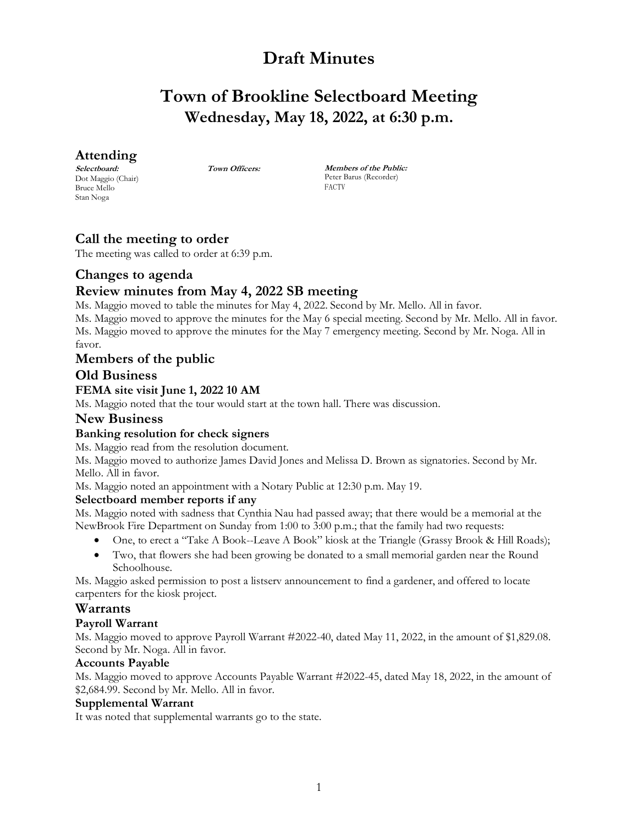# **Draft Minutes**

# **Town of Brookline Selectboard Meeting Wednesday, May 18, 2022, at 6:30 p.m.**

# **Attending**

**Selectboard:** Dot Maggio (Chair) Bruce Mello Stan Noga

**Town Officers: Members of the Public:** Peter Barus (Recorder) FACTV

# **Call the meeting to order**

The meeting was called to order at 6:39 p.m.

# **Changes to agenda**

# **Review minutes from May 4, 2022 SB meeting**

Ms. Maggio moved to table the minutes for May 4, 2022. Second by Mr. Mello. All in favor. Ms. Maggio moved to approve the minutes for the May 6 special meeting. Second by Mr. Mello. All in favor. Ms. Maggio moved to approve the minutes for the May 7 emergency meeting. Second by Mr. Noga. All in favor.

## **Members of the public**

### **Old Business**

### **FEMA site visit June 1, 2022 10 AM**

Ms. Maggio noted that the tour would start at the town hall. There was discussion.

### **New Business**

## **Banking resolution for check signers**

Ms. Maggio read from the resolution document.

Ms. Maggio moved to authorize James David Jones and Melissa D. Brown as signatories. Second by Mr. Mello. All in favor.

Ms. Maggio noted an appointment with a Notary Public at 12:30 p.m. May 19.

#### **Selectboard member reports if any**

Ms. Maggio noted with sadness that Cynthia Nau had passed away; that there would be a memorial at the NewBrook Fire Department on Sunday from 1:00 to 3:00 p.m.; that the family had two requests:

- One, to erect a "Take A Book--Leave A Book" kiosk at the Triangle (Grassy Brook & Hill Roads);
- Two, that flowers she had been growing be donated to a small memorial garden near the Round Schoolhouse.

Ms. Maggio asked permission to post a listserv announcement to find a gardener, and offered to locate carpenters for the kiosk project.

# **Warrants**

#### **Payroll Warrant**

Ms. Maggio moved to approve Payroll Warrant #2022-40, dated May 11, 2022, in the amount of \$1,829.08. Second by Mr. Noga. All in favor.

#### **Accounts Payable**

Ms. Maggio moved to approve Accounts Payable Warrant #2022-45, dated May 18, 2022, in the amount of \$2,684.99. Second by Mr. Mello. All in favor.

#### **Supplemental Warrant**

It was noted that supplemental warrants go to the state.